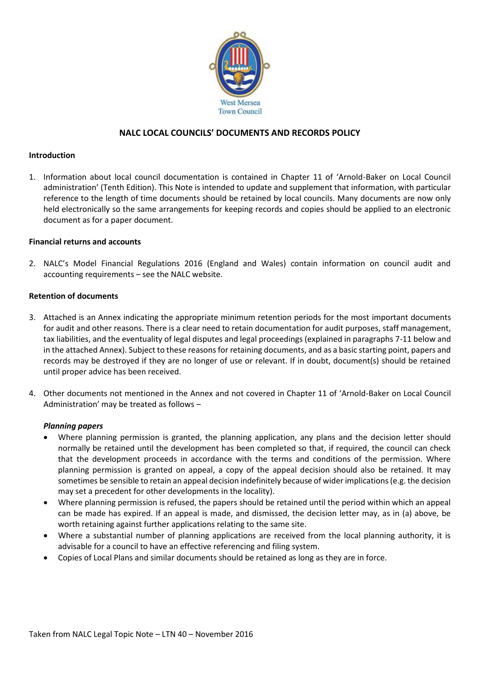

# **NALC LOCAL COUNCILS' DOCUMENTS AND RECORDS POLICY**

#### **Introduction**

1. Information about local council documentation is contained in Chapter 11 of 'Arnold-Baker on Local Council administration' (Tenth Edition). This Note is intended to update and supplement that information, with particular reference to the length of time documents should be retained by local councils. Many documents are now only held electronically so the same arrangements for keeping records and copies should be applied to an electronic document as for a paper document.

#### **Financial returns and accounts**

2. NALC's Model Financial Regulations 2016 (England and Wales) contain information on council audit and accounting requirements – see the NALC website.

#### **Retention of documents**

- 3. Attached is an Annex indicating the appropriate minimum retention periods for the most important documents for audit and other reasons. There is a clear need to retain documentation for audit purposes, staff management, tax liabilities, and the eventuality of legal disputes and legal proceedings (explained in paragraphs 7-11 below and in the attached Annex). Subject to these reasons for retaining documents, and as a basic starting point, papers and records may be destroyed if they are no longer of use or relevant. If in doubt, document(s) should be retained until proper advice has been received.
- 4. Other documents not mentioned in the Annex and not covered in Chapter 11 of 'Arnold-Baker on Local Council Administration' may be treated as follows –

#### *Planning papers*

- Where planning permission is granted, the planning application, any plans and the decision letter should normally be retained until the development has been completed so that, if required, the council can check that the development proceeds in accordance with the terms and conditions of the permission. Where planning permission is granted on appeal, a copy of the appeal decision should also be retained. It may sometimes be sensible to retain an appeal decision indefinitely because of wider implications (e.g. the decision may set a precedent for other developments in the locality).
- Where planning permission is refused, the papers should be retained until the period within which an appeal can be made has expired. If an appeal is made, and dismissed, the decision letter may, as in (a) above, be worth retaining against further applications relating to the same site.
- Where a substantial number of planning applications are received from the local planning authority, it is advisable for a council to have an effective referencing and filing system.
- Copies of Local Plans and similar documents should be retained as long as they are in force.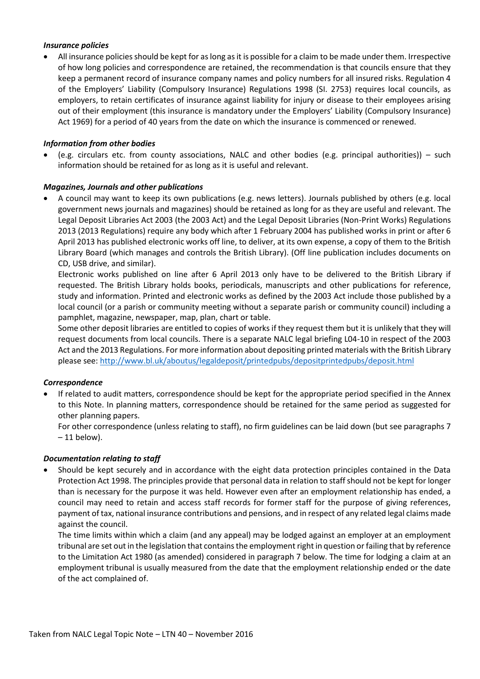### *Insurance policies*

• All insurance policies should be kept for as long as it is possible for a claim to be made under them. Irrespective of how long policies and correspondence are retained, the recommendation is that councils ensure that they keep a permanent record of insurance company names and policy numbers for all insured risks. Regulation 4 of the Employers' Liability (Compulsory Insurance) Regulations 1998 (SI. 2753) requires local councils, as employers, to retain certificates of insurance against liability for injury or disease to their employees arising out of their employment (this insurance is mandatory under the Employers' Liability (Compulsory Insurance) Act 1969) for a period of 40 years from the date on which the insurance is commenced or renewed.

### *Information from other bodies*

• (e.g. circulars etc. from county associations, NALC and other bodies (e.g. principal authorities)) – such information should be retained for as long as it is useful and relevant.

### *Magazines, Journals and other publications*

• A council may want to keep its own publications (e.g. news letters). Journals published by others (e.g. local government news journals and magazines) should be retained as long for as they are useful and relevant. The Legal Deposit Libraries Act 2003 (the 2003 Act) and the Legal Deposit Libraries (Non-Print Works) Regulations 2013 (2013 Regulations) require any body which after 1 February 2004 has published works in print or after 6 April 2013 has published electronic works off line, to deliver, at its own expense, a copy of them to the British Library Board (which manages and controls the British Library). (Off line publication includes documents on CD, USB drive, and similar).

Electronic works published on line after 6 April 2013 only have to be delivered to the British Library if requested. The British Library holds books, periodicals, manuscripts and other publications for reference, study and information. Printed and electronic works as defined by the 2003 Act include those published by a local council (or a parish or community meeting without a separate parish or community council) including a pamphlet, magazine, newspaper, map, plan, chart or table.

Some other deposit libraries are entitled to copies of works if they request them but it is unlikely that they will request documents from local councils. There is a separate NALC legal briefing L04-10 in respect of the 2003 Act and the 2013 Regulations. For more information about depositing printed materials with the British Library please see:<http://www.bl.uk/aboutus/legaldeposit/printedpubs/depositprintedpubs/deposit.html>

### *Correspondence*

• If related to audit matters, correspondence should be kept for the appropriate period specified in the Annex to this Note. In planning matters, correspondence should be retained for the same period as suggested for other planning papers.

For other correspondence (unless relating to staff), no firm guidelines can be laid down (but see paragraphs 7  $-11$  below).

### *Documentation relating to staff*

• Should be kept securely and in accordance with the eight data protection principles contained in the Data Protection Act 1998. The principles provide that personal data in relation to staff should not be kept for longer than is necessary for the purpose it was held. However even after an employment relationship has ended, a council may need to retain and access staff records for former staff for the purpose of giving references, payment of tax, national insurance contributions and pensions, and in respect of any related legal claims made against the council.

The time limits within which a claim (and any appeal) may be lodged against an employer at an employment tribunal are set out in the legislation that contains the employment right in question or failing that by reference to the Limitation Act 1980 (as amended) considered in paragraph 7 below. The time for lodging a claim at an employment tribunal is usually measured from the date that the employment relationship ended or the date of the act complained of.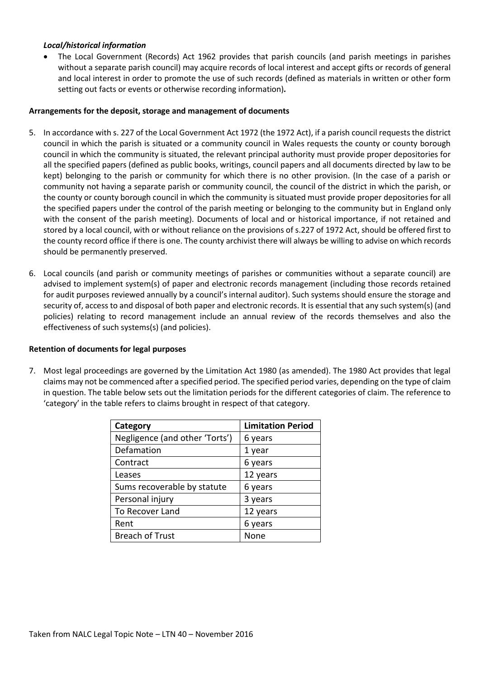### *Local/historical information*

The Local Government (Records) Act 1962 provides that parish councils (and parish meetings in parishes without a separate parish council) may acquire records of local interest and accept gifts or records of general and local interest in order to promote the use of such records (defined as materials in written or other form setting out facts or events or otherwise recording information)*.*

### **Arrangements for the deposit, storage and management of documents**

- 5. In accordance with s. 227 of the Local Government Act 1972 (the 1972 Act), if a parish council requests the district council in which the parish is situated or a community council in Wales requests the county or county borough council in which the community is situated, the relevant principal authority must provide proper depositories for all the specified papers (defined as public books, writings, council papers and all documents directed by law to be kept) belonging to the parish or community for which there is no other provision. (In the case of a parish or community not having a separate parish or community council, the council of the district in which the parish, or the county or county borough council in which the community is situated must provide proper depositories for all the specified papers under the control of the parish meeting or belonging to the community but in England only with the consent of the parish meeting). Documents of local and or historical importance, if not retained and stored by a local council, with or without reliance on the provisions of s.227 of 1972 Act, should be offered first to the county record office if there is one. The county archivist there will always be willing to advise on which records should be permanently preserved.
- 6. Local councils (and parish or community meetings of parishes or communities without a separate council) are advised to implement system(s) of paper and electronic records management (including those records retained for audit purposes reviewed annually by a council's internal auditor). Such systems should ensure the storage and security of, access to and disposal of both paper and electronic records. It is essential that any such system(s) (and policies) relating to record management include an annual review of the records themselves and also the effectiveness of such systems(s) (and policies).

### **Retention of documents for legal purposes**

7. Most legal proceedings are governed by the Limitation Act 1980 (as amended). The 1980 Act provides that legal claims may not be commenced after a specified period. The specified period varies, depending on the type of claim in question. The table below sets out the limitation periods for the different categories of claim. The reference to 'category' in the table refers to claims brought in respect of that category.

| Category                       | <b>Limitation Period</b> |  |
|--------------------------------|--------------------------|--|
| Negligence (and other 'Torts') | 6 years                  |  |
| Defamation                     | 1 year                   |  |
| Contract                       | 6 years                  |  |
| Leases                         | 12 years                 |  |
| Sums recoverable by statute    | 6 years                  |  |
| Personal injury                | 3 years                  |  |
| To Recover Land                | 12 years                 |  |
| Rent                           | 6 years                  |  |
| <b>Breach of Trust</b>         | None                     |  |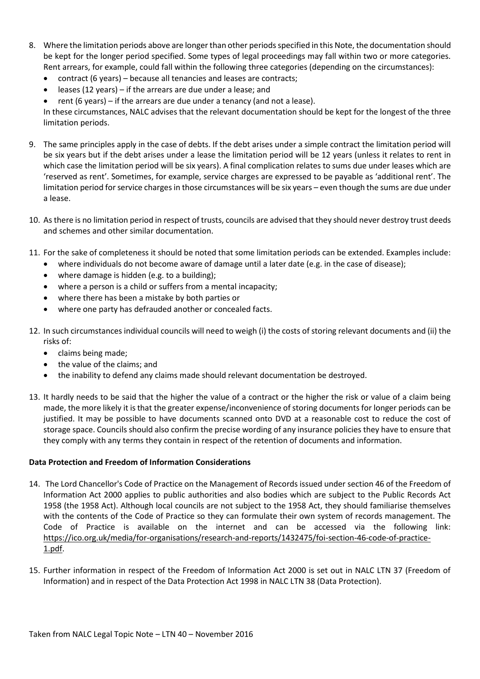- 8. Where the limitation periods above are longer than other periods specified in this Note, the documentation should be kept for the longer period specified. Some types of legal proceedings may fall within two or more categories. Rent arrears, for example, could fall within the following three categories (depending on the circumstances):
	- contract (6 years) because all tenancies and leases are contracts;
	- leases (12 years) if the arrears are due under a lease; and
	- rent (6 years) if the arrears are due under a tenancy (and not a lease).

In these circumstances, NALC advises that the relevant documentation should be kept for the longest of the three limitation periods.

- 9. The same principles apply in the case of debts. If the debt arises under a simple contract the limitation period will be six years but if the debt arises under a lease the limitation period will be 12 years (unless it relates to rent in which case the limitation period will be six years). A final complication relates to sums due under leases which are 'reserved as rent'. Sometimes, for example, service charges are expressed to be payable as 'additional rent'. The limitation period for service charges in those circumstances will be six years – even though the sums are due under a lease.
- 10. As there is no limitation period in respect of trusts, councils are advised that they should never destroy trust deeds and schemes and other similar documentation.
- 11. For the sake of completeness it should be noted that some limitation periods can be extended. Examples include:
	- where individuals do not become aware of damage until a later date (e.g. in the case of disease);
	- where damage is hidden (e.g. to a building);
	- where a person is a child or suffers from a mental incapacity;
	- where there has been a mistake by both parties or
	- where one party has defrauded another or concealed facts.
- 12. In such circumstances individual councils will need to weigh (i) the costs of storing relevant documents and (ii) the risks of:
	- claims being made;
	- the value of the claims; and
	- the inability to defend any claims made should relevant documentation be destroyed.
- 13. It hardly needs to be said that the higher the value of a contract or the higher the risk or value of a claim being made, the more likely it is that the greater expense/inconvenience of storing documents for longer periods can be justified. It may be possible to have documents scanned onto DVD at a reasonable cost to reduce the cost of storage space. Councils should also confirm the precise wording of any insurance policies they have to ensure that they comply with any terms they contain in respect of the retention of documents and information.

# **Data Protection and Freedom of Information Considerations**

- 14. The Lord Chancellor's Code of Practice on the Management of Records issued under section 46 of the Freedom of Information Act 2000 applies to public authorities and also bodies which are subject to the Public Records Act 1958 (the 1958 Act). Although local councils are not subject to the 1958 Act, they should familiarise themselves with the contents of the Code of Practice so they can formulate their own system of records management. The Code of Practice is available on the internet and can be accessed via the following link: [https://ico.org.uk/media/for-organisations/research-and-reports/1432475/foi-section-46-code-of-practice-](https://ico.org.uk/media/for-organisations/research-and-reports/1432475/foi-section-46-code-of-practice-1.pdf)[1.pdf.](https://ico.org.uk/media/for-organisations/research-and-reports/1432475/foi-section-46-code-of-practice-1.pdf)
- 15. Further information in respect of the Freedom of Information Act 2000 is set out in NALC LTN 37 (Freedom of Information) and in respect of the Data Protection Act 1998 in NALC LTN 38 (Data Protection).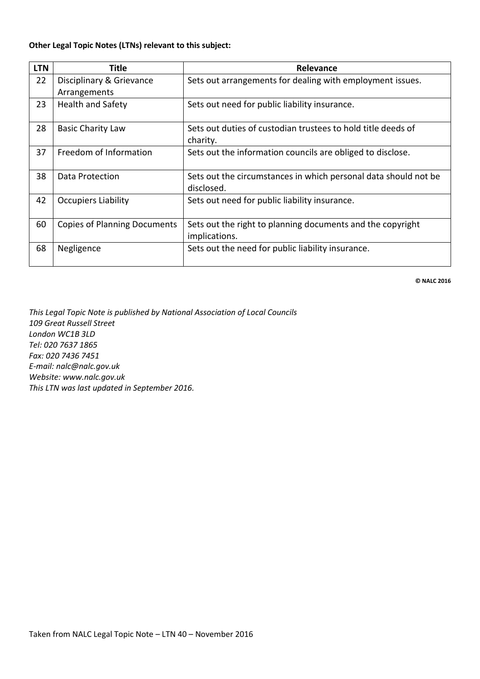### **Other Legal Topic Notes (LTNs) relevant to this subject:**

| <b>LTN</b> | Title                               | Relevance                                                                     |  |
|------------|-------------------------------------|-------------------------------------------------------------------------------|--|
| 22         | Disciplinary & Grievance            | Sets out arrangements for dealing with employment issues.                     |  |
|            | Arrangements                        |                                                                               |  |
| 23         | <b>Health and Safety</b>            | Sets out need for public liability insurance.                                 |  |
| 28         | <b>Basic Charity Law</b>            | Sets out duties of custodian trustees to hold title deeds of<br>charity.      |  |
| 37         | Freedom of Information              | Sets out the information councils are obliged to disclose.                    |  |
| 38         | Data Protection                     | Sets out the circumstances in which personal data should not be<br>disclosed. |  |
| 42         | <b>Occupiers Liability</b>          | Sets out need for public liability insurance.                                 |  |
| 60         | <b>Copies of Planning Documents</b> | Sets out the right to planning documents and the copyright<br>implications.   |  |
| 68         | Negligence                          | Sets out the need for public liability insurance.                             |  |

**© NALC 2016**

*This Legal Topic Note is published by National Association of Local Councils 109 Great Russell Street London WC1B 3LD Tel: 020 7637 1865 Fax: 020 7436 7451 E-mail: nalc@nalc.gov.uk Website: www.nalc.gov.uk This LTN was last updated in September 2016.*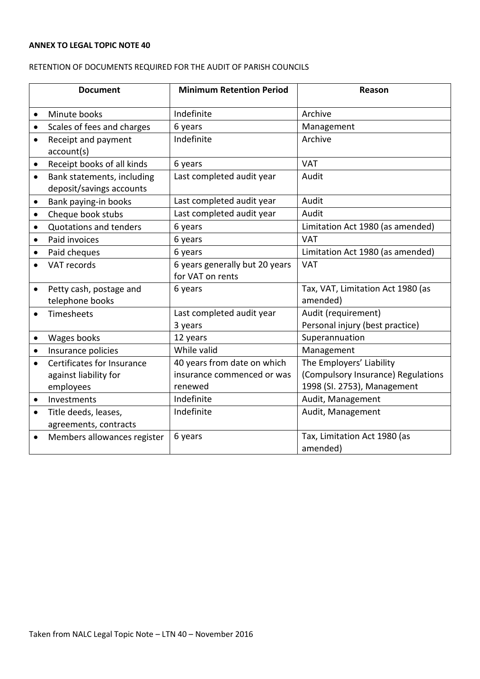# **ANNEX TO LEGAL TOPIC NOTE 40**

# RETENTION OF DOCUMENTS REQUIRED FOR THE AUDIT OF PARISH COUNCILS

| <b>Document</b> |                             | <b>Minimum Retention Period</b> | Reason                             |  |
|-----------------|-----------------------------|---------------------------------|------------------------------------|--|
| $\bullet$       | Minute books                | Indefinite                      | Archive                            |  |
| $\bullet$       | Scales of fees and charges  | 6 years                         | Management                         |  |
| $\bullet$       | Receipt and payment         | Indefinite                      | Archive                            |  |
|                 | account(s)                  |                                 |                                    |  |
| $\bullet$       | Receipt books of all kinds  | 6 years                         | <b>VAT</b>                         |  |
| $\bullet$       | Bank statements, including  | Last completed audit year       | Audit                              |  |
|                 | deposit/savings accounts    |                                 |                                    |  |
| $\bullet$       | Bank paying-in books        | Last completed audit year       | Audit                              |  |
| $\bullet$       | Cheque book stubs           | Last completed audit year       | Audit                              |  |
| $\bullet$       | Quotations and tenders      | 6 years                         | Limitation Act 1980 (as amended)   |  |
| $\bullet$       | Paid invoices               | 6 years                         | <b>VAT</b>                         |  |
| ٠               | Paid cheques                | 6 years                         | Limitation Act 1980 (as amended)   |  |
|                 | VAT records                 | 6 years generally but 20 years  | <b>VAT</b>                         |  |
|                 |                             | for VAT on rents                |                                    |  |
| $\bullet$       | Petty cash, postage and     | 6 years                         | Tax, VAT, Limitation Act 1980 (as  |  |
|                 | telephone books             |                                 | amended)                           |  |
| $\bullet$       | Timesheets                  | Last completed audit year       | Audit (requirement)                |  |
|                 |                             | 3 years                         | Personal injury (best practice)    |  |
| $\bullet$       | Wages books                 | 12 years                        | Superannuation                     |  |
| $\bullet$       | Insurance policies          | While valid                     | Management                         |  |
| $\bullet$       | Certificates for Insurance  | 40 years from date on which     | The Employers' Liability           |  |
|                 | against liability for       | insurance commenced or was      | (Compulsory Insurance) Regulations |  |
|                 | employees                   | renewed                         | 1998 (SI. 2753), Management        |  |
| $\bullet$       | Investments                 | Indefinite                      | Audit, Management                  |  |
| $\bullet$       | Title deeds, leases,        | Indefinite                      | Audit, Management                  |  |
|                 | agreements, contracts       |                                 |                                    |  |
| $\bullet$       | Members allowances register | 6 years                         | Tax, Limitation Act 1980 (as       |  |
|                 |                             |                                 | amended)                           |  |